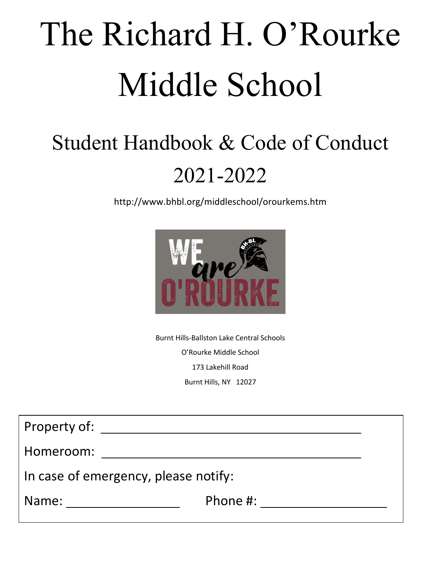# The Richard H. O'Rourke Middle School

# Student Handbook & Code of Conduct 2021-2022

http://www.bhbl.org/middleschool/orourkems.htm



Burnt Hills-Ballston Lake Central Schools O'Rourke Middle School 173 Lakehill Road Burnt Hills, NY 12027

| Property of:                         |          |  |
|--------------------------------------|----------|--|
| Homeroom:                            |          |  |
| In case of emergency, please notify: |          |  |
| Name:                                | Phone #: |  |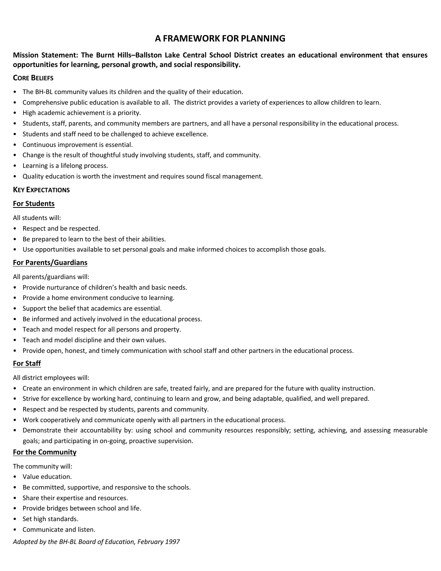# **A FRAMEWORK FOR PLANNING**

#### **Mission Statement: The Burnt Hills–Ballston Lake Central School District creates an educational environment that ensures opportunities for learning, personal growth, and social responsibility.**

#### **CORE BELIEFS**

- The BH-BL community values its children and the quality of their education.
- Comprehensive public education is available to all. The district provides a variety of experiences to allow children to learn.
- High academic achievement is a priority.
- Students, staff, parents, and community members are partners, and all have a personal responsibility in the educational process.
- Students and staff need to be challenged to achieve excellence.
- Continuous improvement is essential.
- Change is the result of thoughtful study involving students, staff, and community.
- Learning is a lifelong process.
- Quality education is worth the investment and requires sound fiscal management.

#### **KEY EXPECTATIONS**

#### **For Students**

All students will:

- Respect and be respected.
- Be prepared to learn to the best of their abilities.
- Use opportunities available to set personal goals and make informed choices to accomplish those goals.

#### **For Parents/Guardians**

All parents/guardians will:

- Provide nurturance of children's health and basic needs.
- Provide a home environment conducive to learning.
- Support the belief that academics are essential.
- Be informed and actively involved in the educational process.
- Teach and model respect for all persons and property.
- Teach and model discipline and their own values.
- Provide open, honest, and timely communication with school staff and other partners in the educational process.

#### **For Staff**

All district employees will:

- Create an environment in which children are safe, treated fairly, and are prepared for the future with quality instruction.
- Strive for excellence by working hard, continuing to learn and grow, and being adaptable, qualified, and well prepared.
- Respect and be respected by students, parents and community.
- Work cooperatively and communicate openly with all partners in the educational process.
- Demonstrate their accountability by: using school and community resources responsibly; setting, achieving, and assessing measurable goals; and participating in on-going, proactive supervision.

#### **For the Community**

The community will:

- Value education.
- Be committed, supportive, and responsive to the schools.
- Share their expertise and resources.
- Provide bridges between school and life.
- Set high standards.
- Communicate and listen.

*Adopted by the BH-BL Board of Education, February 1997*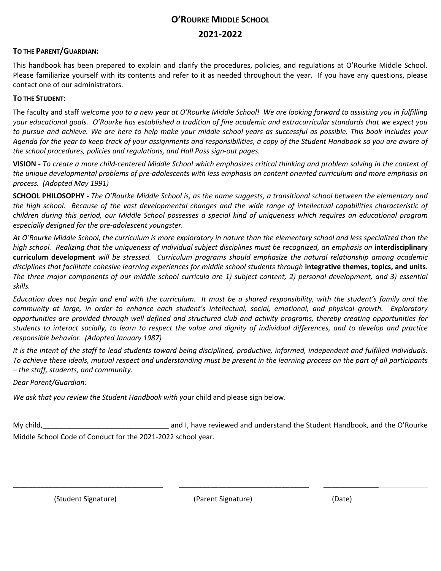# **O'ROURKE MIDDLE SCHOOL 2021-2022**

#### **TO THE PARENT/GUARDIAN:**

This handbook has been prepared to explain and clarify the procedures, policies, and regulations at O'Rourke Middle School. Please familiarize yourself with its contents and refer to it as needed throughout the year. If you have any questions, please contact one of our administrators.

#### **TO THE STUDENT:**

The faculty and staff *welcome you to a new year at O'Rourke Middle School! We are looking forward to assisting you in fulfilling your educational goals. O'Rourke has established a tradition of fine academic and extracurricular standards that we expect you to pursue and achieve. We are here to help make your middle school years as successful as possible. This book includes your Agenda for the year to keep track of your assignments and responsibilities, a copy of the Student Handbook so you are aware of the school procedures, policies and regulations, and Hall Pass sign-out pages.*

**VISION -** *To create a more child-centered Middle School which emphasizes critical thinking and problem solving in the context of the unique developmental problems of pre-adolescents with less emphasis on content oriented curriculum and more emphasis on process. (Adopted May 1991)*

**SCHOOL PHILOSOPHY -** *The O'Rourke Middle School is, as the name suggests, a transitional school between the elementary and the high school. Because of the vast developmental changes and the wide range of intellectual capabilities characteristic of children during this period, our Middle School possesses a special kind of uniqueness which requires an educational program especially designed for the pre-adolescent youngster.*

*At O'Rourke Middle School, the curriculum is more exploratory in nature than the elementary school and less specialized than the*  high school. Realizing that the uniqueness of individual subject disciplines must be recognized, an emphasis on interdisciplinary **curriculum development** *will be stressed. Curriculum programs should emphasize the natural relationship among academic disciplines that facilitate cohesive learning experiences for middle school students through* **integrative themes, topics, and units***. The three major components of our middle school curricula are 1) subject content, 2) personal development, and 3) essential skills.*

*Education does not begin and end with the curriculum. It must be a shared responsibility, with the student's family and the community at large, in order to enhance each student's intellectual, social, emotional, and physical growth. Exploratory opportunities are provided through well defined and structured club and activity programs, thereby creating opportunities for students to interact socially, to learn to respect the value and dignity of individual differences, and to develop and practice responsible behavior. (Adopted January 1987)*

*It is the intent of the staff to lead students toward being disciplined, productive, informed, independent and fulfilled individuals. To achieve these ideals, mutual respect and understanding must be present in the learning process on the part of all participants – the staff, students, and community.*

*Dear Parent/Guardian:*

*We ask that you review the Student Handbook with yo*ur child and please sign below.

My child,\_\_\_\_\_\_\_\_\_\_\_\_\_\_\_\_\_\_\_\_\_\_\_\_\_\_\_\_\_\_\_\_ and I, have reviewed and understand the Student Handbook, and the O'Rourke Middle School Code of Conduct for the 2021-2022 school year.

(Student Signature) (Parent Signature) (Date)

\_\_\_\_\_\_\_\_\_\_\_\_\_\_\_\_\_\_\_\_\_\_\_\_\_\_\_\_\_\_\_\_\_\_\_\_\_\_ \_\_\_\_\_\_\_\_\_\_\_\_\_\_\_\_\_\_\_\_\_\_\_\_\_\_\_\_\_\_\_\_\_ \_\_\_\_\_\_\_\_\_\_\_\_\_\_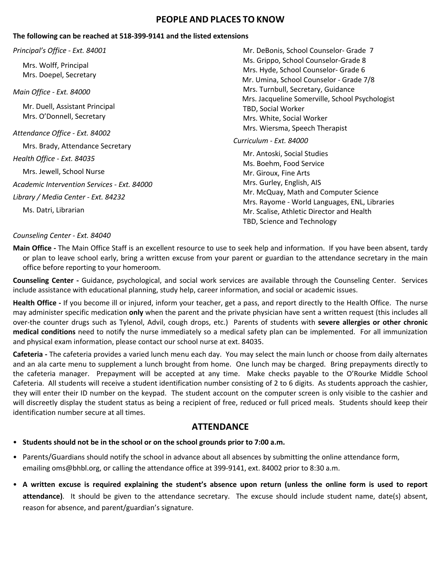# **PEOPLE AND PLACES TO KNOW**

#### **The following can be reached at 518-399-9141 and the listed extensions**

#### *Principal's Office - Ext. 84001*

Mrs. Wolff, Principal Mrs. Doepel, Secretary

*Main Office - Ext. 84000*

Mr. Duell, Assistant Principal Mrs. O'Donnell, Secretary

*Attendance Office - Ext. 84002* Mrs. Brady, Attendance Secretary

*Health Office - Ext. 84035*

Mrs. Jewell, School Nurse

*Academic Intervention Services - Ext. 84000*

*Library / Media Center - Ext. 84232*

Ms. Datri, Librarian

#### *Counseling Center - Ext. 84040*

Mr. DeBonis, School Counselor- Grade 7 Ms. Grippo, School Counselor-Grade 8 Mrs. Hyde, School Counselor- Grade 6 Mr. Umina, School Counselor - Grade 7/8 Mrs. Turnbull, Secretary, Guidance Mrs. Jacqueline Somerville, School Psychologist TBD, Social Worker Mrs. White, Social Worker Mrs. Wiersma, Speech Therapist

#### *Curriculum - Ext. 84000*

Mr. Antoski, Social Studies Ms. Boehm, Food Service Mr. Giroux, Fine Arts Mrs. Gurley, English, AIS Mr. McQuay, Math and Computer Science Mrs. Rayome - World Languages, ENL, Libraries Mr. Scalise, Athletic Director and Health TBD, Science and Technology

**Main Office -** The Main Office Staff is an excellent resource to use to seek help and information. If you have been absent, tardy or plan to leave school early, bring a written excuse from your parent or guardian to the attendance secretary in the main office before reporting to your homeroom.

**Counseling Center -** Guidance, psychological, and social work services are available through the Counseling Center. Services include assistance with educational planning, study help, career information, and social or academic issues.

**Health Office -** If you become ill or injured, inform your teacher, get a pass, and report directly to the Health Office. The nurse may administer specific medication **only** when the parent and the private physician have sent a written request (this includes all over-the counter drugs such as Tylenol, Advil, cough drops, etc.) Parents of students with **severe allergies or other chronic medical conditions** need to notify the nurse immediately so a medical safety plan can be implemented. For all immunization and physical exam information, please contact our school nurse at ext. 84035.

**Cafeteria -** The cafeteria provides a varied lunch menu each day. You may select the main lunch or choose from daily alternates and an ala carte menu to supplement a lunch brought from home. One lunch may be charged. Bring prepayments directly to the cafeteria manager. Prepayment will be accepted at any time. Make checks payable to the O'Rourke Middle School Cafeteria. All students will receive a student identification number consisting of 2 to 6 digits. As students approach the cashier, they will enter their ID number on the keypad. The student account on the computer screen is only visible to the cashier and will discreetly display the student status as being a recipient of free, reduced or full priced meals. Students should keep their identification number secure at all times.

# **ATTENDANCE**

- **Students should not be in the school or on the school grounds prior to 7:00 a.m.**
- Parents/Guardians should notify the school in advance about all absences by submitting the online attendance form, emailing oms@bhbl.org, or calling the attendance office at 399-9141, ext. 84002 prior to 8:30 a.m.
- **A written excuse is required explaining the student's absence upon return (unless the online form is used to report attendance)**. It should be given to the attendance secretary. The excuse should include student name, date(s) absent, reason for absence, and parent/guardian's signature.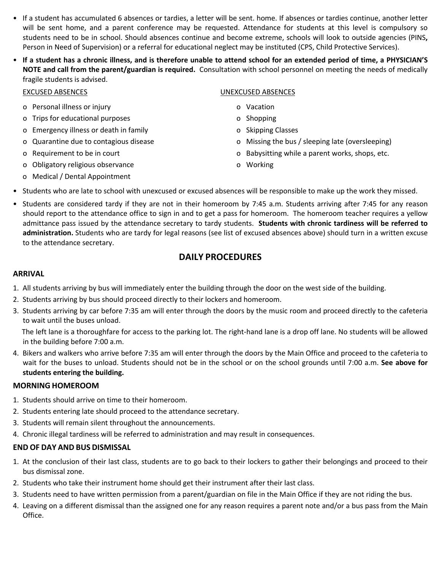- If a student has accumulated 6 absences or tardies, a letter will be sent. home. If absences or tardies continue, another letter will be sent home, and a parent conference may be requested. Attendance for students at this level is compulsory so students need to be in school. Should absences continue and become extreme, schools will look to outside agencies (PINS**,** Person in Need of Supervision) or a referral for educational neglect may be instituted (CPS, Child Protective Services).
- **If a student has a chronic illness, and is therefore unable to attend school for an extended period of time, a PHYSICIAN'S NOTE and call from the parent/guardian is required.** Consultation with school personnel on meeting the needs of medically fragile students is advised.

| <b>EXCUSED ABSENCES</b>                | UNEXCUSED ABSENCES                               |
|----------------------------------------|--------------------------------------------------|
| o Personal illness or injury           | Vacation<br>O.                                   |
| o Trips for educational purposes       | o Shopping                                       |
| o Emergency illness or death in family | o Skipping Classes                               |
| o Quarantine due to contagious disease | o Missing the bus / sleeping late (oversleeping) |
| o Requirement to be in court           | o Babysitting while a parent works, shops, etc.  |
| o Obligatory religious observance      | Working<br>O.                                    |

- o Medical / Dental Appointment
- Students who are late to school with unexcused or excused absences will be responsible to make up the work they missed.
- Students are considered tardy if they are not in their homeroom by 7:45 a.m. Students arriving after 7:45 for any reason should report to the attendance office to sign in and to get a pass for homeroom. The homeroom teacher requires a yellow admittance pass issued by the attendance secretary to tardy students. **Students with chronic tardiness will be referred to administration.** Students who are tardy for legal reasons (see list of excused absences above) should turn in a written excuse to the attendance secretary.

# **DAILY PROCEDURES**

#### **ARRIVAL**

- 1. All students arriving by bus will immediately enter the building through the door on the west side of the building.
- 2. Students arriving by bus should proceed directly to their lockers and homeroom.
- 3. Students arriving by car before 7:35 am will enter through the doors by the music room and proceed directly to the cafeteria to wait until the buses unload.

The left lane is a thoroughfare for access to the parking lot. The right-hand lane is a drop off lane. No students will be allowed in the building before 7:00 a.m.

4. Bikers and walkers who arrive before 7:35 am will enter through the doors by the Main Office and proceed to the cafeteria to wait for the buses to unload. Students should not be in the school or on the school grounds until 7:00 a.m. **See above for students entering the building.**

#### **MORNING HOMEROOM**

- 1. Students should arrive on time to their homeroom.
- 2. Students entering late should proceed to the attendance secretary.
- 3. Students will remain silent throughout the announcements.
- 4. Chronic illegal tardiness will be referred to administration and may result in consequences.

# **END OF DAY AND BUS DISMISSAL**

- 1. At the conclusion of their last class, students are to go back to their lockers to gather their belongings and proceed to their bus dismissal zone.
- 2. Students who take their instrument home should get their instrument after their last class.
- 3. Students need to have written permission from a parent/guardian on file in the Main Office if they are not riding the bus.
- 4. Leaving on a different dismissal than the assigned one for any reason requires a parent note and/or a bus pass from the Main Office.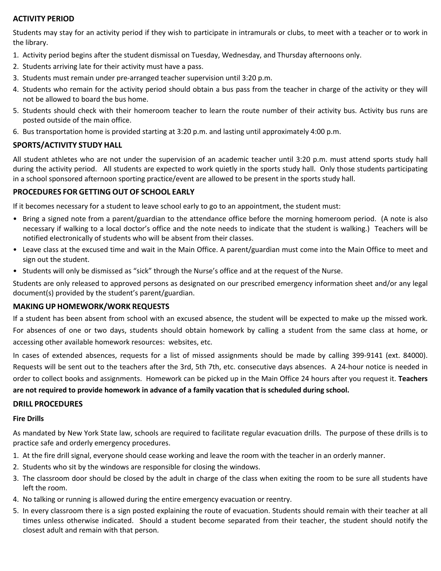#### **ACTIVITY PERIOD**

Students may stay for an activity period if they wish to participate in intramurals or clubs, to meet with a teacher or to work in the library.

- 1. Activity period begins after the student dismissal on Tuesday, Wednesday, and Thursday afternoons only.
- 2. Students arriving late for their activity must have a pass.
- 3. Students must remain under pre-arranged teacher supervision until 3:20 p.m.
- 4. Students who remain for the activity period should obtain a bus pass from the teacher in charge of the activity or they will not be allowed to board the bus home.
- 5. Students should check with their homeroom teacher to learn the route number of their activity bus. Activity bus runs are posted outside of the main office.
- 6. Bus transportation home is provided starting at 3:20 p.m. and lasting until approximately 4:00 p.m.

#### **SPORTS/ACTIVITY STUDY HALL**

All student athletes who are not under the supervision of an academic teacher until 3:20 p.m. must attend sports study hall during the activity period. All students are expected to work quietly in the sports study hall. Only those students participating in a school sponsored afternoon sporting practice/event are allowed to be present in the sports study hall.

#### **PROCEDURES FOR GETTING OUT OF SCHOOL EARLY**

If it becomes necessary for a student to leave school early to go to an appointment, the student must:

- Bring a signed note from a parent/guardian to the attendance office before the morning homeroom period. (A note is also necessary if walking to a local doctor's office and the note needs to indicate that the student is walking.) Teachers will be notified electronically of students who will be absent from their classes.
- Leave class at the excused time and wait in the Main Office. A parent/guardian must come into the Main Office to meet and sign out the student.
- Students will only be dismissed as "sick" through the Nurse's office and at the request of the Nurse.

Students are only released to approved persons as designated on our prescribed emergency information sheet and/or any legal document(s) provided by the student's parent/guardian.

#### **MAKING UP HOMEWORK/WORK REQUESTS**

If a student has been absent from school with an excused absence, the student will be expected to make up the missed work. For absences of one or two days, students should obtain homework by calling a student from the same class at home, or accessing other available homework resources: websites, etc.

In cases of extended absences, requests for a list of missed assignments should be made by calling 399-9141 (ext. 84000). Requests will be sent out to the teachers after the 3rd, 5th 7th, etc. consecutive days absences. A 24-hour notice is needed in order to collect books and assignments. Homework can be picked up in the Main Office 24 hours after you request it. **Teachers are not required to provide homework in advance of a family vacation that is scheduled during school.** 

#### **DRILL PROCEDURES**

#### **Fire Drills**

As mandated by New York State law, schools are required to facilitate regular evacuation drills. The purpose of these drills is to practice safe and orderly emergency procedures.

- 1. At the fire drill signal, everyone should cease working and leave the room with the teacher in an orderly manner.
- 2. Students who sit by the windows are responsible for closing the windows.
- 3. The classroom door should be closed by the adult in charge of the class when exiting the room to be sure all students have left the room.
- 4. No talking or running is allowed during the entire emergency evacuation or reentry.
- 5. In every classroom there is a sign posted explaining the route of evacuation. Students should remain with their teacher at all times unless otherwise indicated. Should a student become separated from their teacher, the student should notify the closest adult and remain with that person.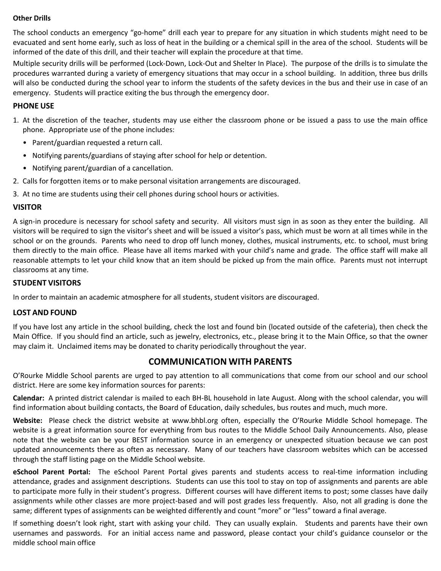#### **Other Drills**

The school conducts an emergency "go-home" drill each year to prepare for any situation in which students might need to be evacuated and sent home early, such as loss of heat in the building or a chemical spill in the area of the school. Students will be informed of the date of this drill, and their teacher will explain the procedure at that time.

Multiple security drills will be performed (Lock-Down, Lock-Out and Shelter In Place). The purpose of the drills is to simulate the procedures warranted during a variety of emergency situations that may occur in a school building. In addition, three bus drills will also be conducted during the school year to inform the students of the safety devices in the bus and their use in case of an emergency. Students will practice exiting the bus through the emergency door.

#### **PHONE USE**

- 1. At the discretion of the teacher, students may use either the classroom phone or be issued a pass to use the main office phone. Appropriate use of the phone includes:
	- Parent/guardian requested a return call.
	- Notifying parents/guardians of staying after school for help or detention.
	- Notifying parent/guardian of a cancellation.
- 2. Calls for forgotten items or to make personal visitation arrangements are discouraged.
- 3. At no time are students using their cell phones during school hours or activities.

#### **VISITOR**

A sign-in procedure is necessary for school safety and security. All visitors must sign in as soon as they enter the building. All visitors will be required to sign the visitor's sheet and will be issued a visitor's pass, which must be worn at all times while in the school or on the grounds. Parents who need to drop off lunch money, clothes, musical instruments, etc. to school, must bring them directly to the main office. Please have all items marked with your child's name and grade. The office staff will make all reasonable attempts to let your child know that an item should be picked up from the main office. Parents must not interrupt classrooms at any time.

#### **STUDENT VISITORS**

In order to maintain an academic atmosphere for all students, student visitors are discouraged.

#### **LOST AND FOUND**

If you have lost any article in the school building, check the lost and found bin (located outside of the cafeteria), then check the Main Office. If you should find an article, such as jewelry, electronics, etc., please bring it to the Main Office, so that the owner may claim it. Unclaimed items may be donated to charity periodically throughout the year.

# **COMMUNICATION WITH PARENTS**

O'Rourke Middle School parents are urged to pay attention to all communications that come from our school and our school district. Here are some key information sources for parents:

**Calendar:** A printed district calendar is mailed to each BH-BL household in late August. Along with the school calendar, you will find information about building contacts, the Board of Education, daily schedules, bus routes and much, much more.

**Website:** Please check the district website at www.bhbl.org often, especially the O'Rourke Middle School homepage. The website is a great information source for everything from bus routes to the Middle School Daily Announcements. Also, please note that the website can be your BEST information source in an emergency or unexpected situation because we can post updated announcements there as often as necessary. Many of our teachers have classroom websites which can be accessed through the staff listing page on the Middle School website.

**eSchool Parent Portal:** The eSchool Parent Portal gives parents and students access to real-time information including attendance, grades and assignment descriptions. Students can use this tool to stay on top of assignments and parents are able to participate more fully in their student's progress. Different courses will have different items to post; some classes have daily assignments while other classes are more project-based and will post grades less frequently. Also, not all grading is done the same; different types of assignments can be weighted differently and count "more" or "less" toward a final average.

If something doesn't look right, start with asking your child. They can usually explain. Students and parents have their own usernames and passwords. For an initial access name and password, please contact your child's guidance counselor or the middle school main office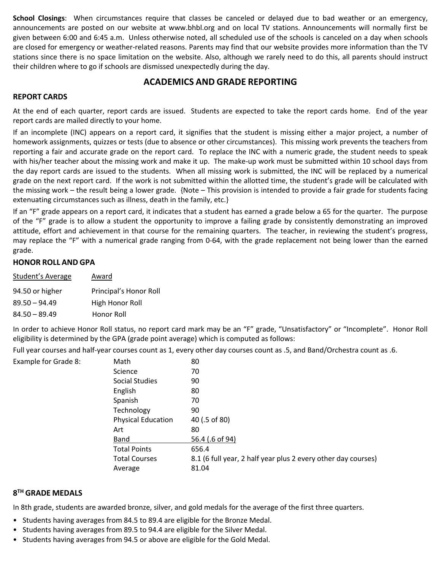**School Closings**: When circumstances require that classes be canceled or delayed due to bad weather or an emergency, announcements are posted on our website at www.bhbl.org and on local TV stations. Announcements will normally first be given between 6:00 and 6:45 a.m. Unless otherwise noted, all scheduled use of the schools is canceled on a day when schools are closed for emergency or weather-related reasons. Parents may find that our website provides more information than the TV stations since there is no space limitation on the website. Also, although we rarely need to do this, all parents should instruct their children where to go if schools are dismissed unexpectedly during the day.

# **ACADEMICS AND GRADE REPORTING**

#### **REPORT CARDS**

At the end of each quarter, report cards are issued. Students are expected to take the report cards home. End of the year report cards are mailed directly to your home.

If an incomplete (INC) appears on a report card, it signifies that the student is missing either a major project, a number of homework assignments, quizzes or tests (due to absence or other circumstances). This missing work prevents the teachers from reporting a fair and accurate grade on the report card. To replace the INC with a numeric grade, the student needs to speak with his/her teacher about the missing work and make it up. The make-up work must be submitted within 10 school days from the day report cards are issued to the students. When all missing work is submitted, the INC will be replaced by a numerical grade on the next report card. If the work is not submitted within the allotted time, the student's grade will be calculated with the missing work – the result being a lower grade. {Note – This provision is intended to provide a fair grade for students facing extenuating circumstances such as illness, death in the family, etc.}

If an "F" grade appears on a report card, it indicates that a student has earned a grade below a 65 for the quarter. The purpose of the "F" grade is to allow a student the opportunity to improve a failing grade by consistently demonstrating an improved attitude, effort and achievement in that course for the remaining quarters. The teacher, in reviewing the student's progress, may replace the "F" with a numerical grade ranging from 0-64, with the grade replacement not being lower than the earned grade.

#### **HONOR ROLL AND GPA**

Example for Grade 8:

| Student's Average | Award                  |
|-------------------|------------------------|
| 94.50 or higher   | Principal's Honor Roll |
| $89.50 - 94.49$   | High Honor Roll        |
| $84.50 - 89.49$   | Honor Roll             |

In order to achieve Honor Roll status, no report card mark may be an "F" grade, "Unsatisfactory" or "Incomplete". Honor Roll eligibility is determined by the GPA (grade point average) which is computed as follows:

Full year courses and half-year courses count as 1, every other day courses count as .5, and Band/Orchestra count as .6.

| Math                 | 80                                                            |
|----------------------|---------------------------------------------------------------|
| Science              | 70                                                            |
| Social Studies       | 90                                                            |
| English              | 80                                                            |
| Spanish              | 70                                                            |
| Technology           | 90                                                            |
| Physical Education   | 40 (.5 of 80)                                                 |
| Art                  | 80                                                            |
| Band                 | 56.4 (.6 of 94)                                               |
| <b>Total Points</b>  | 656.4                                                         |
| <b>Total Courses</b> | 8.1 (6 full year, 2 half year plus 2 every other day courses) |
| Average              | 81.04                                                         |

#### **8TH GRADE MEDALS**

In 8th grade, students are awarded bronze, silver, and gold medals for the average of the first three quarters.

- Students having averages from 84.5 to 89.4 are eligible for the Bronze Medal.
- Students having averages from 89.5 to 94.4 are eligible for the Silver Medal.
- Students having averages from 94.5 or above are eligible for the Gold Medal.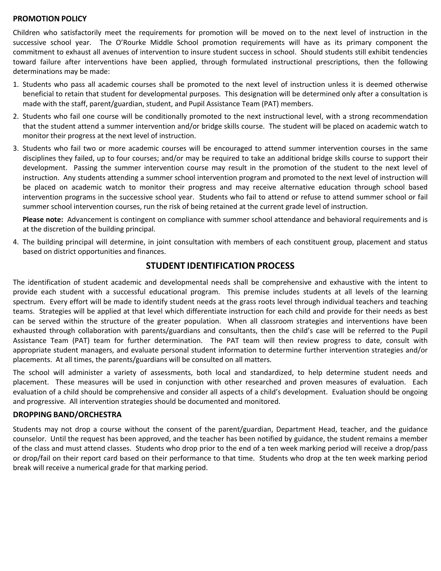#### **PROMOTION POLICY**

Children who satisfactorily meet the requirements for promotion will be moved on to the next level of instruction in the successive school year. The O'Rourke Middle School promotion requirements will have as its primary component the commitment to exhaust all avenues of intervention to insure student success in school. Should students still exhibit tendencies toward failure after interventions have been applied, through formulated instructional prescriptions, then the following determinations may be made:

- 1. Students who pass all academic courses shall be promoted to the next level of instruction unless it is deemed otherwise beneficial to retain that student for developmental purposes. This designation will be determined only after a consultation is made with the staff, parent/guardian, student, and Pupil Assistance Team (PAT) members.
- 2. Students who fail one course will be conditionally promoted to the next instructional level, with a strong recommendation that the student attend a summer intervention and/or bridge skills course. The student will be placed on academic watch to monitor their progress at the next level of instruction.
- 3. Students who fail two or more academic courses will be encouraged to attend summer intervention courses in the same disciplines they failed, up to four courses; and/or may be required to take an additional bridge skills course to support their development. Passing the summer intervention course may result in the promotion of the student to the next level of instruction. Any students attending a summer school intervention program and promoted to the next level of instruction will be placed on academic watch to monitor their progress and may receive alternative education through school based intervention programs in the successive school year. Students who fail to attend or refuse to attend summer school or fail summer school intervention courses, run the risk of being retained at the current grade level of instruction.

**Please note:** Advancement is contingent on compliance with summer school attendance and behavioral requirements and is at the discretion of the building principal.

4. The building principal will determine, in joint consultation with members of each constituent group, placement and status based on district opportunities and finances.

#### **STUDENT IDENTIFICATION PROCESS**

The identification of student academic and developmental needs shall be comprehensive and exhaustive with the intent to provide each student with a successful educational program. This premise includes students at all levels of the learning spectrum. Every effort will be made to identify student needs at the grass roots level through individual teachers and teaching teams. Strategies will be applied at that level which differentiate instruction for each child and provide for their needs as best can be served within the structure of the greater population. When all classroom strategies and interventions have been exhausted through collaboration with parents/guardians and consultants, then the child's case will be referred to the Pupil Assistance Team (PAT) team for further determination. The PAT team will then review progress to date, consult with appropriate student managers, and evaluate personal student information to determine further intervention strategies and/or placements. At all times, the parents/guardians will be consulted on all matters.

The school will administer a variety of assessments, both local and standardized, to help determine student needs and placement. These measures will be used in conjunction with other researched and proven measures of evaluation. Each evaluation of a child should be comprehensive and consider all aspects of a child's development. Evaluation should be ongoing and progressive. All intervention strategies should be documented and monitored.

#### **DROPPING BAND/ORCHESTRA**

Students may not drop a course without the consent of the parent/guardian, Department Head, teacher, and the guidance counselor. Until the request has been approved, and the teacher has been notified by guidance, the student remains a member of the class and must attend classes. Students who drop prior to the end of a ten week marking period will receive a drop/pass or drop/fail on their report card based on their performance to that time. Students who drop at the ten week marking period break will receive a numerical grade for that marking period.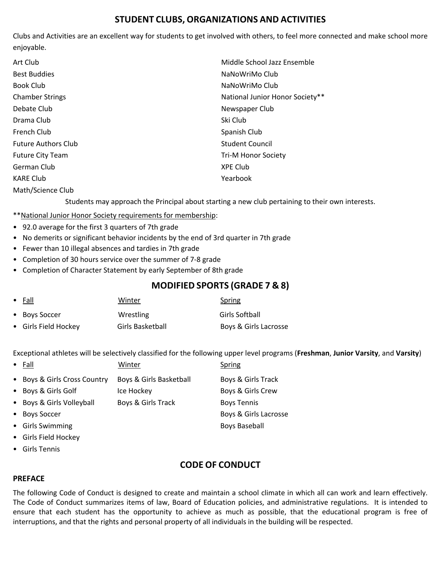# **STUDENT CLUBS, ORGANIZATIONS AND ACTIVITIES**

Clubs and Activities are an excellent way for students to get involved with others, to feel more connected and make school more enjoyable.

| Art Club                   | Middle School Jazz Ensemble     |
|----------------------------|---------------------------------|
| <b>Best Buddies</b>        | NaNoWriMo Club                  |
| Book Club                  | NaNoWriMo Club                  |
| <b>Chamber Strings</b>     | National Junior Honor Society** |
| Debate Club                | Newspaper Club                  |
| Drama Club                 | Ski Club                        |
| French Club                | Spanish Club                    |
| <b>Future Authors Club</b> | <b>Student Council</b>          |
| <b>Future City Team</b>    | <b>Tri-M Honor Society</b>      |
| German Club                | <b>XPE Club</b>                 |
| <b>KARE Club</b>           | Yearbook                        |
| Math/Science Club          |                                 |

Students may approach the Principal about starting a new club pertaining to their own interests.

\*\*National Junior Honor Society requirements for membership:

- 92.0 average for the first 3 quarters of 7th grade
- No demerits or significant behavior incidents by the end of 3rd quarter in 7th grade
- Fewer than 10 illegal absences and tardies in 7th grade
- Completion of 30 hours service over the summer of 7-8 grade
- Completion of Character Statement by early September of 8th grade

# **MODIFIED SPORTS (GRADE 7 & 8)**

| $\bullet$ Fall       | Winter           | Spring                |
|----------------------|------------------|-----------------------|
| • Boys Soccer        | Wrestling        | Girls Softball        |
| • Girls Field Hockey | Girls Basketball | Boys & Girls Lacrosse |

Exceptional athletes will be selectively classified for the following upper level programs (**Freshman**, **Junior Varsity**, and **Varsity**)

| $\bullet$ Fall               | Winter                  | Spring                |
|------------------------------|-------------------------|-----------------------|
| • Boys & Girls Cross Country | Boys & Girls Basketball | Boys & Girls Track    |
| • Boys & Girls Golf          | Ice Hockey              | Boys & Girls Crew     |
| • Boys & Girls Volleyball    | Boys & Girls Track      | <b>Boys Tennis</b>    |
| • Boys Soccer                |                         | Boys & Girls Lacrosse |
| • Girls Swimming             |                         | <b>Boys Baseball</b>  |
| • Girls Field Hockey         |                         |                       |

• Girls Tennis

# **CODE OF CONDUCT**

#### **PREFACE**

The following Code of Conduct is designed to create and maintain a school climate in which all can work and learn effectively. The Code of Conduct summarizes items of law, Board of Education policies, and administrative regulations. It is intended to ensure that each student has the opportunity to achieve as much as possible, that the educational program is free of interruptions, and that the rights and personal property of all individuals in the building will be respected.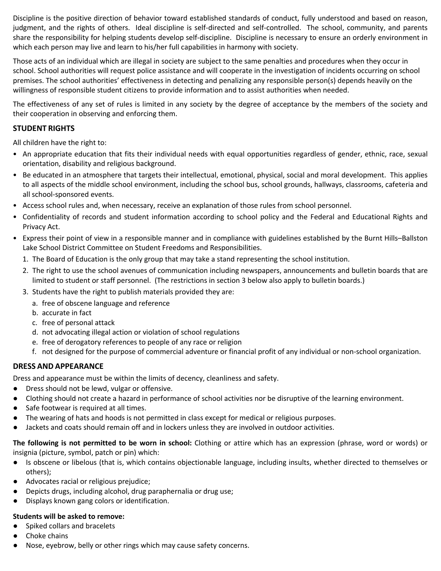Discipline is the positive direction of behavior toward established standards of conduct, fully understood and based on reason, judgment, and the rights of others. Ideal discipline is self-directed and self-controlled. The school, community, and parents share the responsibility for helping students develop self-discipline. Discipline is necessary to ensure an orderly environment in which each person may live and learn to his/her full capabilities in harmony with society.

Those acts of an individual which are illegal in society are subject to the same penalties and procedures when they occur in school. School authorities will request police assistance and will cooperate in the investigation of incidents occurring on school premises. The school authorities' effectiveness in detecting and penalizing any responsible person(s) depends heavily on the willingness of responsible student citizens to provide information and to assist authorities when needed.

The effectiveness of any set of rules is limited in any society by the degree of acceptance by the members of the society and their cooperation in observing and enforcing them.

#### **STUDENT RIGHTS**

All children have the right to:

- An appropriate education that fits their individual needs with equal opportunities regardless of gender, ethnic, race, sexual orientation, disability and religious background.
- Be educated in an atmosphere that targets their intellectual, emotional, physical, social and moral development. This applies to all aspects of the middle school environment, including the school bus, school grounds, hallways, classrooms, cafeteria and all school-sponsored events.
- Access school rules and, when necessary, receive an explanation of those rules from school personnel.
- Confidentiality of records and student information according to school policy and the Federal and Educational Rights and Privacy Act.
- Express their point of view in a responsible manner and in compliance with guidelines established by the Burnt Hills–Ballston Lake School District Committee on Student Freedoms and Responsibilities.
	- 1. The Board of Education is the only group that may take a stand representing the school institution.
	- 2. The right to use the school avenues of communication including newspapers, announcements and bulletin boards that are limited to student or staff personnel. (The restrictions in section 3 below also apply to bulletin boards.)
	- 3. Students have the right to publish materials provided they are:
		- a. free of obscene language and reference
		- b. accurate in fact
		- c. free of personal attack
		- d. not advocating illegal action or violation of school regulations
		- e. free of derogatory references to people of any race or religion
		- f. not designed for the purpose of commercial adventure or financial profit of any individual or non-school organization.

#### **DRESS AND APPEARANCE**

Dress and appearance must be within the limits of decency, cleanliness and safety.

- Dress should not be lewd, vulgar or offensive.
- Clothing should not create a hazard in performance of school activities nor be disruptive of the learning environment.
- Safe footwear is required at all times.
- The wearing of hats and hoods is not permitted in class except for medical or religious purposes.
- Jackets and coats should remain off and in lockers unless they are involved in outdoor activities.

**The following is not permitted to be worn in school:** Clothing or attire which has an expression (phrase, word or words) or insignia (picture, symbol, patch or pin) which:

- Is obscene or libelous (that is, which contains objectionable language, including insults, whether directed to themselves or others);
- Advocates racial or religious prejudice;
- Depicts drugs, including alcohol, drug paraphernalia or drug use;
- Displays known gang colors or identification.

#### **Students will be asked to remove:**

- Spiked collars and bracelets
- Choke chains
- Nose, eyebrow, belly or other rings which may cause safety concerns.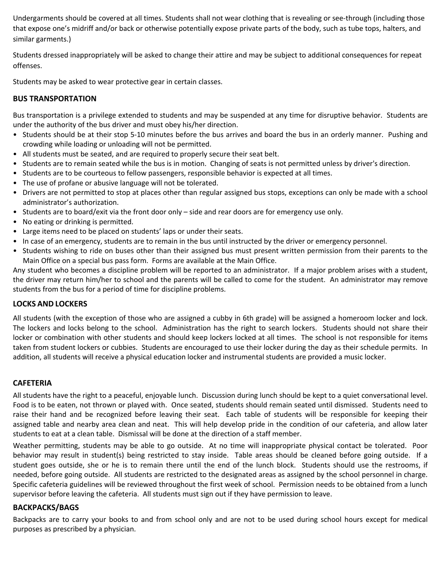Undergarments should be covered at all times. Students shall not wear clothing that is revealing or see-through (including those that expose one's midriff and/or back or otherwise potentially expose private parts of the body, such as tube tops, halters, and similar garments.)

Students dressed inappropriately will be asked to change their attire and may be subject to additional consequences for repeat offenses.

Students may be asked to wear protective gear in certain classes.

#### **BUS TRANSPORTATION**

Bus transportation is a privilege extended to students and may be suspended at any time for disruptive behavior. Students are under the authority of the bus driver and must obey his/her direction.

- Students should be at their stop 5-10 minutes before the bus arrives and board the bus in an orderly manner. Pushing and crowding while loading or unloading will not be permitted.
- All students must be seated, and are required to properly secure their seat belt.
- Students are to remain seated while the bus is in motion. Changing of seats is not permitted unless by driver's direction.
- Students are to be courteous to fellow passengers, responsible behavior is expected at all times.
- The use of profane or abusive language will not be tolerated.
- Drivers are not permitted to stop at places other than regular assigned bus stops, exceptions can only be made with a school administrator's authorization.
- Students are to board/exit via the front door only side and rear doors are for emergency use only.
- No eating or drinking is permitted.
- Large items need to be placed on students' laps or under their seats.
- In case of an emergency, students are to remain in the bus until instructed by the driver or emergency personnel.
- Students wishing to ride on buses other than their assigned bus must present written permission from their parents to the Main Office on a special bus pass form. Forms are available at the Main Office.

Any student who becomes a discipline problem will be reported to an administrator. If a major problem arises with a student, the driver may return him/her to school and the parents will be called to come for the student. An administrator may remove students from the bus for a period of time for discipline problems.

#### **LOCKS AND LOCKERS**

All students (with the exception of those who are assigned a cubby in 6th grade) will be assigned a homeroom locker and lock. The lockers and locks belong to the school. Administration has the right to search lockers. Students should not share their locker or combination with other students and should keep lockers locked at all times. The school is not responsible for items taken from student lockers or cubbies. Students are encouraged to use their locker during the day as their schedule permits. In addition, all students will receive a physical education locker and instrumental students are provided a music locker.

#### **CAFETERIA**

All students have the right to a peaceful, enjoyable lunch. Discussion during lunch should be kept to a quiet conversational level. Food is to be eaten, not thrown or played with. Once seated, students should remain seated until dismissed. Students need to raise their hand and be recognized before leaving their seat. Each table of students will be responsible for keeping their assigned table and nearby area clean and neat. This will help develop pride in the condition of our cafeteria, and allow later students to eat at a clean table. Dismissal will be done at the direction of a staff member.

Weather permitting, students may be able to go outside. At no time will inappropriate physical contact be tolerated. Poor behavior may result in student(s) being restricted to stay inside. Table areas should be cleaned before going outside. If a student goes outside, she or he is to remain there until the end of the lunch block. Students should use the restrooms, if needed, before going outside. All students are restricted to the designated areas as assigned by the school personnel in charge. Specific cafeteria guidelines will be reviewed throughout the first week of school. Permission needs to be obtained from a lunch supervisor before leaving the cafeteria. All students must sign out if they have permission to leave.

#### **BACKPACKS/BAGS**

Backpacks are to carry your books to and from school only and are not to be used during school hours except for medical purposes as prescribed by a physician.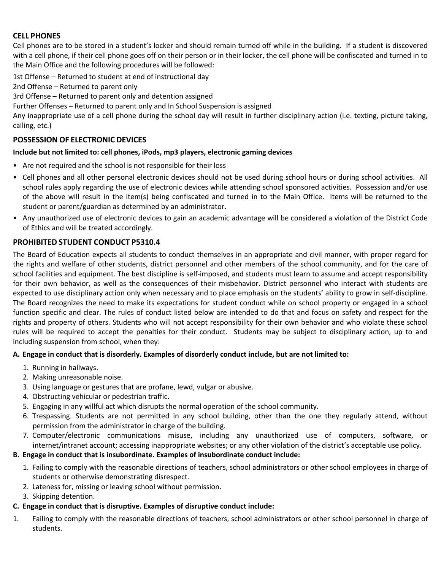#### **CELL PHONES**

Cell phones are to be stored in a student's locker and should remain turned off while in the building. If a student is discovered with a cell phone, if their cell phone goes off on their person or in their locker, the cell phone will be confiscated and turned in to the Main Office and the following procedures will be followed:

1st Offense – Returned to student at end of instructional day

2nd Offense – Returned to parent only

3rd Offense – Returned to parent only and detention assigned

Further Offenses – Returned to parent only and In School Suspension is assigned

Any inappropriate use of a cell phone during the school day will result in further disciplinary action (i.e. texting, picture taking, calling, etc.)

#### **POSSESSION OF ELECTRONIC DEVICES**

#### **Include but not limited to: cell phones, iPods, mp3 players, electronic gaming devices**

- Are not required and the school is not responsible for their loss
- Cell phones and all other personal electronic devices should not be used during school hours or during school activities. All school rules apply regarding the use of electronic devices while attending school sponsored activities. Possession and/or use of the above will result in the item(s) being confiscated and turned in to the Main Office. Items will be returned to the student or parent/guardian as determined by an administrator.
- Any unauthorized use of electronic devices to gain an academic advantage will be considered a violation of the District Code of Ethics and will be treated accordingly.

#### **PROHIBITED STUDENT CONDUCT P5310.4**

The Board of Education expects all students to conduct themselves in an appropriate and civil manner, with proper regard for the rights and welfare of other students, district personnel and other members of the school community, and for the care of school facilities and equipment. The best discipline is self-imposed, and students must learn to assume and accept responsibility for their own behavior, as well as the consequences of their misbehavior. District personnel who interact with students are expected to use disciplinary action only when necessary and to place emphasis on the students' ability to grow in self-discipline. The Board recognizes the need to make its expectations for student conduct while on school property or engaged in a school function specific and clear. The rules of conduct listed below are intended to do that and focus on safety and respect for the rights and property of others. Students who will not accept responsibility for their own behavior and who violate these school rules will be required to accept the penalties for their conduct. Students may be subject to disciplinary action, up to and including suspension from school, when they:

#### **A. Engage in conduct that is disorderly. Examples of disorderly conduct include, but are not limited to:**

- 1. Running in hallways.
- 2. Making unreasonable noise.
- 3. Using language or gestures that are profane, lewd, vulgar or abusive.
- 4. Obstructing vehicular or pedestrian traffic.
- 5. Engaging in any willful act which disrupts the normal operation of the school community.
- 6. Trespassing. Students are not permitted in any school building, other than the one they regularly attend, without permission from the administrator in charge of the building.
- 7. Computer/electronic communications misuse, including any unauthorized use of computers, software, or internet/intranet account; accessing inappropriate websites; or any other violation of the district's acceptable use policy.

#### **B. Engage in conduct that is insubordinate. Examples of insubordinate conduct include:**

- 1. Failing to comply with the reasonable directions of teachers, school administrators or other school employees in charge of students or otherwise demonstrating disrespect.
- 2. Lateness for, missing or leaving school without permission.
- 3. Skipping detention.

#### **C. Engage in conduct that is disruptive. Examples of disruptive conduct include:**

1. Failing to comply with the reasonable directions of teachers, school administrators or other school personnel in charge of students.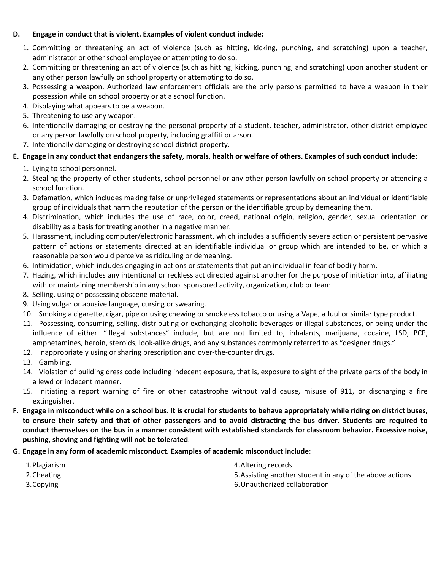#### **D. Engage in conduct that is violent. Examples of violent conduct include:**

- 1. Committing or threatening an act of violence (such as hitting, kicking, punching, and scratching) upon a teacher, administrator or other school employee or attempting to do so.
- 2. Committing or threatening an act of violence (such as hitting, kicking, punching, and scratching) upon another student or any other person lawfully on school property or attempting to do so.
- 3. Possessing a weapon. Authorized law enforcement officials are the only persons permitted to have a weapon in their possession while on school property or at a school function.
- 4. Displaying what appears to be a weapon.
- 5. Threatening to use any weapon.
- 6. Intentionally damaging or destroying the personal property of a student, teacher, administrator, other district employee or any person lawfully on school property, including graffiti or arson.
- 7. Intentionally damaging or destroying school district property.

#### **E. Engage in any conduct that endangers the safety, morals, health or welfare of others. Examples of such conduct include**:

- 1. Lying to school personnel.
- 2. Stealing the property of other students, school personnel or any other person lawfully on school property or attending a school function.
- 3. Defamation, which includes making false or unprivileged statements or representations about an individual or identifiable group of individuals that harm the reputation of the person or the identifiable group by demeaning them.
- 4. Discrimination, which includes the use of race, color, creed, national origin, religion, gender, sexual orientation or disability as a basis for treating another in a negative manner.
- 5. Harassment, including computer/electronic harassment, which includes a sufficiently severe action or persistent pervasive pattern of actions or statements directed at an identifiable individual or group which are intended to be, or which a reasonable person would perceive as ridiculing or demeaning.
- 6. Intimidation, which includes engaging in actions or statements that put an individual in fear of bodily harm.
- 7. Hazing, which includes any intentional or reckless act directed against another for the purpose of initiation into, affiliating with or maintaining membership in any school sponsored activity, organization, club or team.
- 8. Selling, using or possessing obscene material.
- 9. Using vulgar or abusive language, cursing or swearing.
- 10. Smoking a cigarette, cigar, pipe or using chewing or smokeless tobacco or using a Vape, a Juul or similar type product.
- 11. Possessing, consuming, selling, distributing or exchanging alcoholic beverages or illegal substances, or being under the influence of either. "Illegal substances" include, but are not limited to, inhalants, marijuana, cocaine, LSD, PCP, amphetamines, heroin, steroids, look-alike drugs, and any substances commonly referred to as "designer drugs."
- 12. Inappropriately using or sharing prescription and over-the-counter drugs.
- 13. Gambling.
- 14. Violation of building dress code including indecent exposure, that is, exposure to sight of the private parts of the body in a lewd or indecent manner.
- 15. Initiating a report warning of fire or other catastrophe without valid cause, misuse of 911, or discharging a fire extinguisher.
- **F. Engage in misconduct while on a school bus. It is crucial for students to behave appropriately while riding on district buses, to ensure their safety and that of other passengers and to avoid distracting the bus driver. Students are required to conduct themselves on the bus in a manner consistent with established standards for classroom behavior. Excessive noise, pushing, shoving and fighting will not be tolerated**.
- **G. Engage in any form of academic misconduct. Examples of academic misconduct include**:

| 1. Plagiarism | 4. Altering records                                      |
|---------------|----------------------------------------------------------|
| 2. Cheating   | 5. Assisting another student in any of the above actions |
| 3. Copying    | 6. Unauthorized collaboration                            |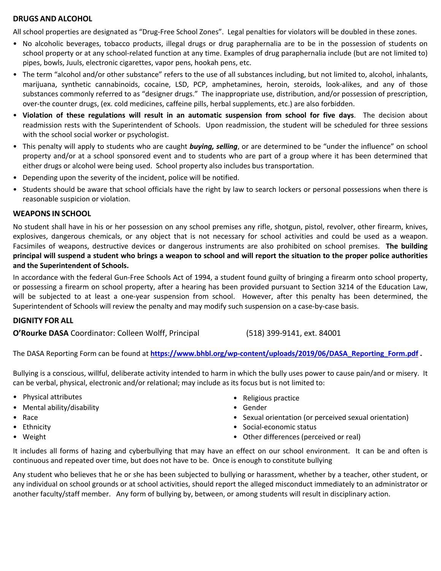#### **DRUGS AND ALCOHOL**

All school properties are designated as "Drug-Free School Zones". Legal penalties for violators will be doubled in these zones.

- No alcoholic beverages, tobacco products, illegal drugs or drug paraphernalia are to be in the possession of students on school property or at any school-related function at any time. Examples of drug paraphernalia include (but are not limited to) pipes, bowls, Juuls, electronic cigarettes, vapor pens, hookah pens, etc.
- The term "alcohol and/or other substance" refers to the use of all substances including, but not limited to, alcohol, inhalants, marijuana, synthetic cannabinoids, cocaine, LSD, PCP, amphetamines, heroin, steroids, look-alikes, and any of those substances commonly referred to as "designer drugs." The inappropriate use, distribution, and/or possession of prescription, over-the counter drugs, (ex. cold medicines, caffeine pills, herbal supplements, etc.) are also forbidden.
- **Violation of these regulations will result in an automatic suspension from school for five days**. The decision about readmission rests with the Superintendent of Schools. Upon readmission, the student will be scheduled for three sessions with the school social worker or psychologist.
- This penalty will apply to students who are caught *buying, selling*, or are determined to be "under the influence" on school property and/or at a school sponsored event and to students who are part of a group where it has been determined that either drugs or alcohol were being used. School property also includes bus transportation.
- Depending upon the severity of the incident, police will be notified.
- Students should be aware that school officials have the right by law to search lockers or personal possessions when there is reasonable suspicion or violation.

#### **WEAPONS IN SCHOOL**

No student shall have in his or her possession on any school premises any rifle, shotgun, pistol, revolver, other firearm, knives, explosives, dangerous chemicals, or any object that is not necessary for school activities and could be used as a weapon. Facsimiles of weapons, destructive devices or dangerous instruments are also prohibited on school premises. **The building principal will suspend a student who brings a weapon to school and will report the situation to the proper police authorities and the Superintendent of Schools.**

In accordance with the federal Gun-Free Schools Act of 1994, a student found guilty of bringing a firearm onto school property, or possessing a firearm on school property, after a hearing has been provided pursuant to Section 3214 of the Education Law, will be subjected to at least a one-year suspension from school. However, after this penalty has been determined, the Superintendent of Schools will review the penalty and may modify such suspension on a case-by-case basis.

#### **DIGNITY FOR ALL**

**O'Rourke DASA** Coordinator: Colleen Wolff, Principal (518) 399-9141, ext. 84001

The DASA Reporting Form can be found at **https://www.bhbl.org/wp-content/uploads/2019/06/DASA\_Reporting\_Form.pdf .**

Bullying is a conscious, willful, deliberate activity intended to harm in which the bully uses power to cause pain/and or misery. It can be verbal, physical, electronic and/or relational; may include as its focus but is not limited to:

- Physical attributes
- Mental ability/disability
- Race
- Ethnicity
- Weight
- Religious practice
- Gender
- Sexual orientation (or perceived sexual orientation)
- Social-economic status
- Other differences (perceived or real)

It includes all forms of hazing and cyberbullying that may have an effect on our school environment. It can be and often is continuous and repeated over time, but does not have to be. Once is enough to constitute bullying

Any student who believes that he or she has been subjected to bullying or harassment, whether by a teacher, other student, or any individual on school grounds or at school activities, should report the alleged misconduct immediately to an administrator or another faculty/staff member. Any form of bullying by, between, or among students will result in disciplinary action.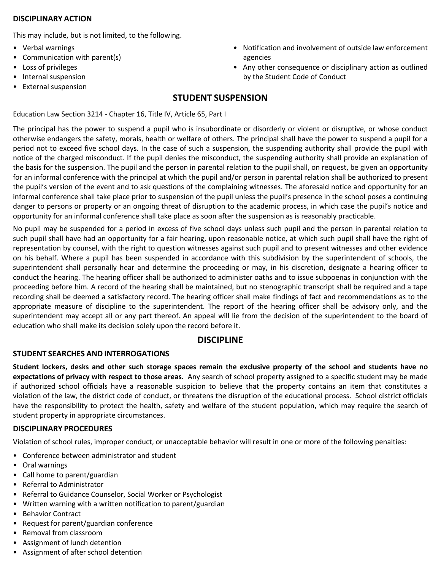#### **DISCIPLINARY ACTION**

This may include, but is not limited, to the following.

- Verbal warnings
- Communication with parent(s)
- Loss of privileges
- Internal suspension
- External suspension

# **STUDENT SUSPENSION**

Education Law Section 3214 - Chapter 16, Title IV, Article 65, Part I

The principal has the power to suspend a pupil who is insubordinate or disorderly or violent or disruptive, or whose conduct otherwise endangers the safety, morals, health or welfare of others. The principal shall have the power to suspend a pupil for a period not to exceed five school days. In the case of such a suspension, the suspending authority shall provide the pupil with notice of the charged misconduct. If the pupil denies the misconduct, the suspending authority shall provide an explanation of the basis for the suspension. The pupil and the person in parental relation to the pupil shall, on request, be given an opportunity for an informal conference with the principal at which the pupil and/or person in parental relation shall be authorized to present the pupil's version of the event and to ask questions of the complaining witnesses. The aforesaid notice and opportunity for an informal conference shall take place prior to suspension of the pupil unless the pupil's presence in the school poses a continuing danger to persons or property or an ongoing threat of disruption to the academic process, in which case the pupil's notice and opportunity for an informal conference shall take place as soon after the suspension as is reasonably practicable.

No pupil may be suspended for a period in excess of five school days unless such pupil and the person in parental relation to such pupil shall have had an opportunity for a fair hearing, upon reasonable notice, at which such pupil shall have the right of representation by counsel, with the right to question witnesses against such pupil and to present witnesses and other evidence on his behalf. Where a pupil has been suspended in accordance with this subdivision by the superintendent of schools, the superintendent shall personally hear and determine the proceeding or may, in his discretion, designate a hearing officer to conduct the hearing. The hearing officer shall be authorized to administer oaths and to issue subpoenas in conjunction with the proceeding before him. A record of the hearing shall be maintained, but no stenographic transcript shall be required and a tape recording shall be deemed a satisfactory record. The hearing officer shall make findings of fact and recommendations as to the appropriate measure of discipline to the superintendent. The report of the hearing officer shall be advisory only, and the superintendent may accept all or any part thereof. An appeal will lie from the decision of the superintendent to the board of education who shall make its decision solely upon the record before it.

#### **DISCIPLINE**

#### **STUDENT SEARCHES AND INTERROGATIONS**

**Student lockers, desks and other such storage spaces remain the exclusive property of the school and students have no expectations of privacy with respect to those areas.** Any search of school property assigned to a specific student may be made if authorized school officials have a reasonable suspicion to believe that the property contains an item that constitutes a violation of the law, the district code of conduct, or threatens the disruption of the educational process. School district officials have the responsibility to protect the health, safety and welfare of the student population, which may require the search of student property in appropriate circumstances.

#### **DISCIPLINARY PROCEDURES**

Violation of school rules, improper conduct, or unacceptable behavior will result in one or more of the following penalties:

- Conference between administrator and student
- Oral warnings
- Call home to parent/guardian
- Referral to Administrator
- Referral to Guidance Counselor, Social Worker or Psychologist
- Written warning with a written notification to parent/guardian
- Behavior Contract
- Request for parent/guardian conference
- Removal from classroom
- Assignment of lunch detention
- Assignment of after school detention
- Notification and involvement of outside law enforcement agencies
- Any other consequence or disciplinary action as outlined by the Student Code of Conduct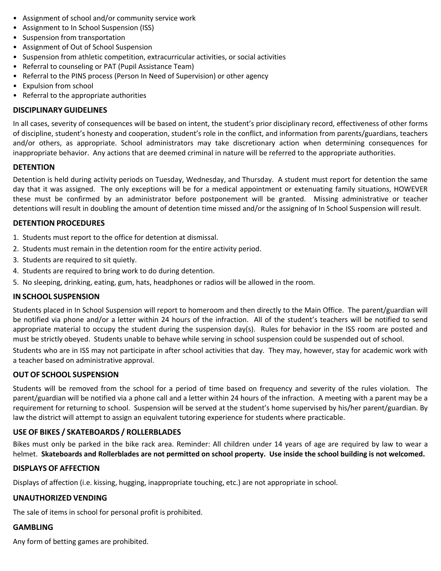- Assignment of school and/or community service work
- Assignment to In School Suspension (ISS)
- Suspension from transportation
- Assignment of Out of School Suspension
- Suspension from athletic competition, extracurricular activities, or social activities
- Referral to counseling or PAT (Pupil Assistance Team)
- Referral to the PINS process (Person In Need of Supervision) or other agency
- Expulsion from school
- Referral to the appropriate authorities

#### **DISCIPLINARY GUIDELINES**

In all cases, severity of consequences will be based on intent, the student's prior disciplinary record, effectiveness of other forms of discipline, student's honesty and cooperation, student's role in the conflict, and information from parents/guardians, teachers and/or others, as appropriate. School administrators may take discretionary action when determining consequences for inappropriate behavior. Any actions that are deemed criminal in nature will be referred to the appropriate authorities.

#### **DETENTION**

Detention is held during activity periods on Tuesday, Wednesday, and Thursday. A student must report for detention the same day that it was assigned. The only exceptions will be for a medical appointment or extenuating family situations, HOWEVER these must be confirmed by an administrator before postponement will be granted. Missing administrative or teacher detentions will result in doubling the amount of detention time missed and/or the assigning of In School Suspension will result.

#### **DETENTION PROCEDURES**

- 1. Students must report to the office for detention at dismissal.
- 2. Students must remain in the detention room for the entire activity period.
- 3. Students are required to sit quietly.
- 4. Students are required to bring work to do during detention.
- 5. No sleeping, drinking, eating, gum, hats, headphones or radios will be allowed in the room.

#### **IN SCHOOL SUSPENSION**

Students placed in In School Suspension will report to homeroom and then directly to the Main Office. The parent/guardian will be notified via phone and/or a letter within 24 hours of the infraction. All of the student's teachers will be notified to send appropriate material to occupy the student during the suspension day(s). Rules for behavior in the ISS room are posted and must be strictly obeyed. Students unable to behave while serving in school suspension could be suspended out of school.

Students who are in ISS may not participate in after school activities that day. They may, however, stay for academic work with a teacher based on administrative approval.

#### **OUT OF SCHOOL SUSPENSION**

Students will be removed from the school for a period of time based on frequency and severity of the rules violation. The parent/guardian will be notified via a phone call and a letter within 24 hours of the infraction. A meeting with a parent may be a requirement for returning to school. Suspension will be served at the student's home supervised by his/her parent/guardian. By law the district will attempt to assign an equivalent tutoring experience for students where practicable.

#### **USE OF BIKES / SKATEBOARDS / ROLLERBLADES**

Bikes must only be parked in the bike rack area. Reminder: All children under 14 years of age are required by law to wear a helmet. **Skateboards and Rollerblades are not permitted on school property. Use inside the school building is not welcomed.**

#### **DISPLAYS OF AFFECTION**

Displays of affection (i.e. kissing, hugging, inappropriate touching, etc.) are not appropriate in school.

#### **UNAUTHORIZED VENDING**

The sale of items in school for personal profit is prohibited.

#### **GAMBLING**

Any form of betting games are prohibited.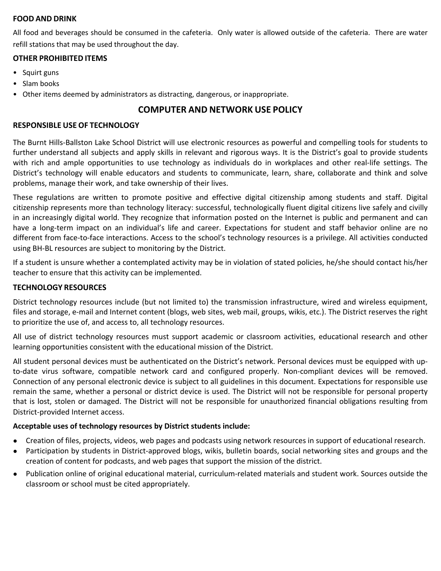#### **FOOD AND DRINK**

All food and beverages should be consumed in the cafeteria. Only water is allowed outside of the cafeteria. There are water refill stations that may be used throughout the day.

#### **OTHER PROHIBITED ITEMS**

- Squirt guns
- Slam books
- Other items deemed by administrators as distracting, dangerous, or inappropriate.

# **COMPUTER AND NETWORK USE POLICY**

#### **RESPONSIBLE USE OF TECHNOLOGY**

The Burnt Hills-Ballston Lake School District will use electronic resources as powerful and compelling tools for students to further understand all subjects and apply skills in relevant and rigorous ways. It is the District's goal to provide students with rich and ample opportunities to use technology as individuals do in workplaces and other real-life settings. The District's technology will enable educators and students to communicate, learn, share, collaborate and think and solve problems, manage their work, and take ownership of their lives.

These regulations are written to promote positive and effective digital citizenship among students and staff. Digital citizenship represents more than technology literacy: successful, technologically fluent digital citizens live safely and civilly in an increasingly digital world. They recognize that information posted on the Internet is public and permanent and can have a long-term impact on an individual's life and career. Expectations for student and staff behavior online are no different from face-to-face interactions. Access to the school's technology resources is a privilege. All activities conducted using BH-BL resources are subject to monitoring by the District.

If a student is unsure whether a contemplated activity may be in violation of stated policies, he/she should contact his/her teacher to ensure that this activity can be implemented.

#### **TECHNOLOGY RESOURCES**

District technology resources include (but not limited to) the transmission infrastructure, wired and wireless equipment, files and storage, e-mail and Internet content (blogs, web sites, web mail, groups, wikis, etc.). The District reserves the right to prioritize the use of, and access to, all technology resources.

All use of district technology resources must support academic or classroom activities, educational research and other learning opportunities consistent with the educational mission of the District.

All student personal devices must be authenticated on the District's network. Personal devices must be equipped with upto-date virus software, compatible network card and configured properly. Non-compliant devices will be removed. Connection of any personal electronic device is subject to all guidelines in this document. Expectations for responsible use remain the same, whether a personal or district device is used. The District will not be responsible for personal property that is lost, stolen or damaged. The District will not be responsible for unauthorized financial obligations resulting from District-provided Internet access.

#### **Acceptable uses of technology resources by District students include:**

- Creation of files, projects, videos, web pages and podcasts using network resources in support of educational research.
- Participation by students in District-approved blogs, wikis, bulletin boards, social networking sites and groups and the creation of content for podcasts, and web pages that support the mission of the district.
- Publication online of original educational material, curriculum-related materials and student work. Sources outside the classroom or school must be cited appropriately.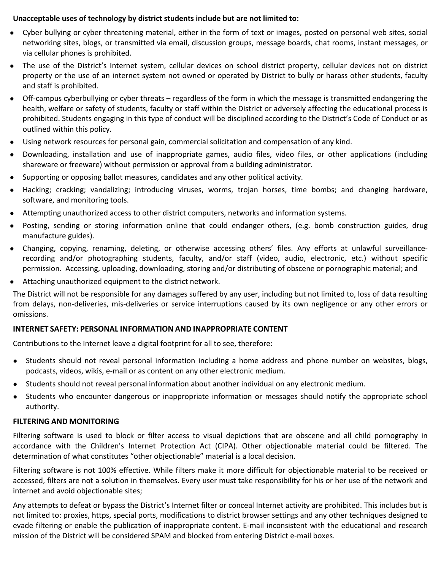#### **Unacceptable uses of technology by district students include but are not limited to:**

- Cyber bullying or cyber threatening material, either in the form of text or images, posted on personal web sites, social networking sites, blogs, or transmitted via email, discussion groups, message boards, chat rooms, instant messages, or via cellular phones is prohibited.
- The use of the District's Internet system, cellular devices on school district property, cellular devices not on district property or the use of an internet system not owned or operated by District to bully or harass other students, faculty and staff is prohibited.
- Off-campus cyberbullying or cyber threats regardless of the form in which the message is transmitted endangering the health, welfare or safety of students, faculty or staff within the District or adversely affecting the educational process is prohibited. Students engaging in this type of conduct will be disciplined according to the District's Code of Conduct or as outlined within this policy.
- Using network resources for personal gain, commercial solicitation and compensation of any kind.
- Downloading, installation and use of inappropriate games, audio files, video files, or other applications (including shareware or freeware) without permission or approval from a building administrator.
- Supporting or opposing ballot measures, candidates and any other political activity.
- Hacking; cracking; vandalizing; introducing viruses, worms, trojan horses, time bombs; and changing hardware, software, and monitoring tools.
- Attempting unauthorized access to other district computers, networks and information systems.
- Posting, sending or storing information online that could endanger others, (e.g. bomb construction guides, drug manufacture guides).
- Changing, copying, renaming, deleting, or otherwise accessing others' files. Any efforts at unlawful surveillancerecording and/or photographing students, faculty, and/or staff (video, audio, electronic, etc.) without specific permission. Accessing, uploading, downloading, storing and/or distributing of obscene or pornographic material; and
- Attaching unauthorized equipment to the district network.

The District will not be responsible for any damages suffered by any user, including but not limited to, loss of data resulting from delays, non-deliveries, mis-deliveries or service interruptions caused by its own negligence or any other errors or omissions.

#### **INTERNET SAFETY: PERSONAL INFORMATION AND INAPPROPRIATE CONTENT**

Contributions to the Internet leave a digital footprint for all to see, therefore:

- Students should not reveal personal information including a home address and phone number on websites, blogs, podcasts, videos, wikis, e-mail or as content on any other electronic medium.
- Students should not reveal personal information about another individual on any electronic medium.
- Students who encounter dangerous or inappropriate information or messages should notify the appropriate school authority.

#### **FILTERING AND MONITORING**

Filtering software is used to block or filter access to visual depictions that are obscene and all child pornography in accordance with the Children's Internet Protection Act (CIPA). Other objectionable material could be filtered. The determination of what constitutes "other objectionable" material is a local decision.

Filtering software is not 100% effective. While filters make it more difficult for objectionable material to be received or accessed, filters are not a solution in themselves. Every user must take responsibility for his or her use of the network and internet and avoid objectionable sites;

Any attempts to defeat or bypass the District's Internet filter or conceal Internet activity are prohibited. This includes but is not limited to: proxies, https, special ports, modifications to district browser settings and any other techniques designed to evade filtering or enable the publication of inappropriate content. E-mail inconsistent with the educational and research mission of the District will be considered SPAM and blocked from entering District e-mail boxes.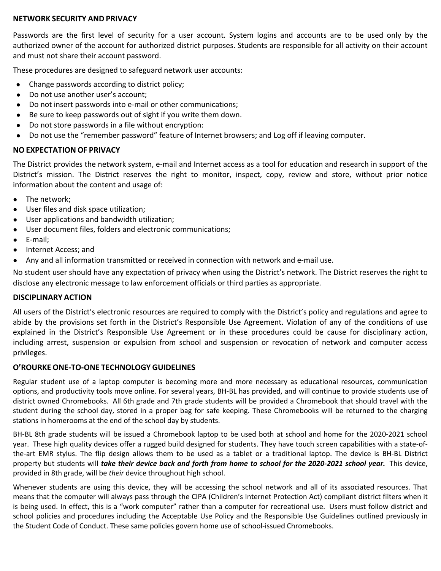#### **NETWORK SECURITY AND PRIVACY**

Passwords are the first level of security for a user account. System logins and accounts are to be used only by the authorized owner of the account for authorized district purposes. Students are responsible for all activity on their account and must not share their account password.

These procedures are designed to safeguard network user accounts:

- Change passwords according to district policy;
- Do not use another user's account;
- Do not insert passwords into e-mail or other communications;
- Be sure to keep passwords out of sight if you write them down.
- Do not store passwords in a file without encryption:
- Do not use the "remember password" feature of Internet browsers; and Log off if leaving computer.

#### **NO EXPECTATION OF PRIVACY**

The District provides the network system, e-mail and Internet access as a tool for education and research in support of the District's mission. The District reserves the right to monitor, inspect, copy, review and store, without prior notice information about the content and usage of:

- The network;
- User files and disk space utilization;
- User applications and bandwidth utilization;
- User document files, folders and electronic communications;
- E-mail;
- Internet Access; and
- Any and all information transmitted or received in connection with network and e-mail use.

No student user should have any expectation of privacy when using the District's network. The District reserves the right to disclose any electronic message to law enforcement officials or third parties as appropriate.

#### **DISCIPLINARY ACTION**

All users of the District's electronic resources are required to comply with the District's policy and regulations and agree to abide by the provisions set forth in the District's Responsible Use Agreement. Violation of any of the conditions of use explained in the District's Responsible Use Agreement or in these procedures could be cause for disciplinary action, including arrest, suspension or expulsion from school and suspension or revocation of network and computer access privileges.

#### **O'ROURKE ONE-TO-ONE TECHNOLOGY GUIDELINES**

Regular student use of a laptop computer is becoming more and more necessary as educational resources, communication options, and productivity tools move online. For several years, BH-BL has provided, and will continue to provide students use of district owned Chromebooks. All 6th grade and 7th grade students will be provided a Chromebook that should travel with the student during the school day, stored in a proper bag for safe keeping. These Chromebooks will be returned to the charging stations in homerooms at the end of the school day by students.

BH-BL 8th grade students will be issued a Chromebook laptop to be used both at school and home for the 2020-2021 school year. These high quality devices offer a rugged build designed for students. They have touch screen capabilities with a state-ofthe-art EMR stylus. The flip design allows them to be used as a tablet or a traditional laptop. The device is BH-BL District property but students will *take their device back and forth from home to school for the 2020-2021 school year.* This device, provided in 8th grade, will be *their* device throughout high school.

Whenever students are using this device, they will be accessing the school network and all of its associated resources. That means that the computer will always pass through the CIPA (Children's Internet Protection Act) compliant district filters when it is being used. In effect, this is a "work computer" rather than a computer for recreational use. Users must follow district and school policies and procedures including the Acceptable Use Policy and the Responsible Use Guidelines outlined previously in the Student Code of Conduct. These same policies govern home use of school-issued Chromebooks.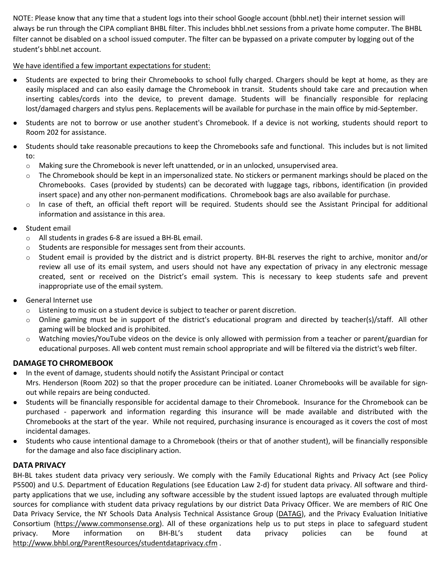NOTE: Please know that any time that a student logs into their school Google account (bhbl.net) their internet session will always be run through the CIPA compliant BHBL filter. This includes bhbl.net sessions from a private home computer. The BHBL filter cannot be disabled on a school issued computer. The filter can be bypassed on a private computer by logging out of the student's bhbl.net account.

#### We have identified a few important expectations for student:

- Students are expected to bring their Chromebooks to school fully charged. Chargers should be kept at home, as they are easily misplaced and can also easily damage the Chromebook in transit. Students should take care and precaution when inserting cables/cords into the device, to prevent damage. Students will be financially responsible for replacing lost/damaged chargers and stylus pens. Replacements will be available for purchase in the main office by mid-September.
- Students are not to borrow or use another student's Chromebook. If a device is not working, students should report to Room 202 for assistance.
- Students should take reasonable precautions to keep the Chromebooks safe and functional. This includes but is not limited to:
	- o Making sure the Chromebook is never left unattended, or in an unlocked, unsupervised area.
	- $\circ$  The Chromebook should be kept in an impersonalized state. No stickers or permanent markings should be placed on the Chromebooks. Cases (provided by students) can be decorated with luggage tags, ribbons, identification (in provided insert space) and any other non-permanent modifications. Chromebook bags are also available for purchase.
	- o In case of theft, an official theft report will be required. Students should see the Assistant Principal for additional information and assistance in this area.
- Student email
	- o All students in grades 6-8 are issued a BH-BL email.
	- o Students are responsible for messages sent from their accounts.
	- $\circ$  Student email is provided by the district and is district property. BH-BL reserves the right to archive, monitor and/or review all use of its email system, and users should not have any expectation of privacy in any electronic message created, sent or received on the District's email system. This is necessary to keep students safe and prevent inappropriate use of the email system.
- General Internet use
	- $\circ$  Listening to music on a student device is subject to teacher or parent discretion.
	- $\circ$  Online gaming must be in support of the district's educational program and directed by teacher(s)/staff. All other gaming will be blocked and is prohibited.
	- $\circ$  Watching movies/YouTube videos on the device is only allowed with permission from a teacher or parent/guardian for educational purposes. All web content must remain school appropriate and will be filtered via the district's web filter.

# **DAMAGE TO CHROMEBOOK**

- In the event of damage, students should notify the Assistant Principal or contact Mrs. Henderson (Room 202) so that the proper procedure can be initiated. Loaner Chromebooks will be available for signout while repairs are being conducted.
- Students will be financially responsible for accidental damage to their Chromebook. Insurance for the Chromebook can be purchased - paperwork and information regarding this insurance will be made available and distributed with the Chromebooks at the start of the year. While not required, purchasing insurance is encouraged as it covers the cost of most incidental damages.
- Students who cause intentional damage to a Chromebook (theirs or that of another student), will be financially responsible for the damage and also face disciplinary action.

#### **DATA PRIVACY**

BH-BL takes student data privacy very seriously. We comply with the Family Educational Rights and Privacy Act (see Policy P5500) and U.S. Department of Education Regulations (see Education Law 2-d) for student data privacy. All software and thirdparty applications that we use, including any software accessible by the student issued laptops are evaluated through multiple sources for compliance with student data privacy regulations by our district Data Privacy Officer. We are members of RIC One Data Privacy Service, the NY Schools Data Analysis Technical Assistance Group (DATAG), and the Privacy Evaluation Initiative Consortium (https://www.commonsense.org). All of these organizations help us to put steps in place to safeguard student privacy. More information on BH-BL's student data privacy policies can be found at http://www.bhbl.org/ParentResources/studentdataprivacy.cfm .